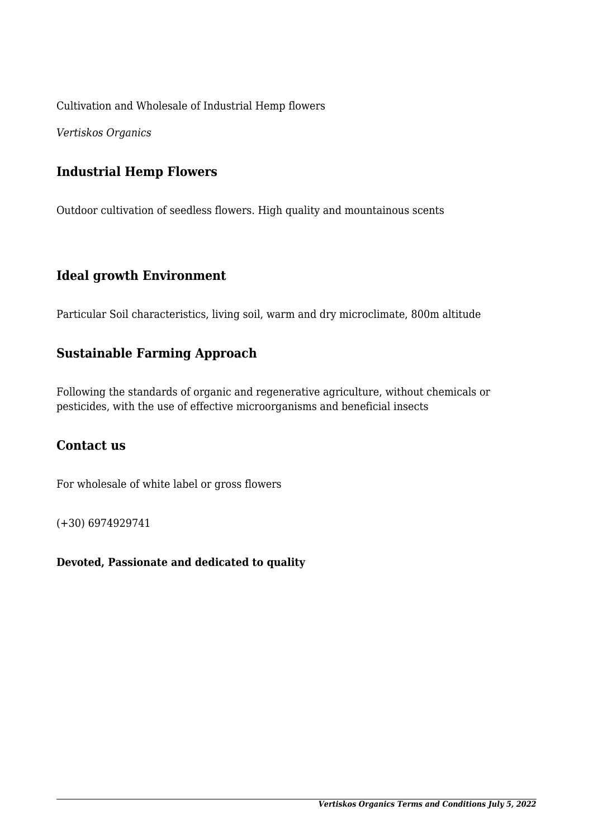Cultivation and Wholesale of Industrial Hemp flowers

*Vertiskos Organics*

#### **Industrial Hemp Flowers**

Outdoor cultivation of seedless flowers. High quality and mountainous scents

#### **Ideal growth Environment**

Particular Soil characteristics, living soil, warm and dry microclimate, 800m altitude

#### **Sustainable Farming Approach**

Following the standards of organic and regenerative agriculture, without chemicals or pesticides, with the use of effective microorganisms and beneficial insects

#### **Contact us**

For wholesale of white label or gross flowers

(+30) 6974929741

**Devoted, Passionate and dedicated to quality**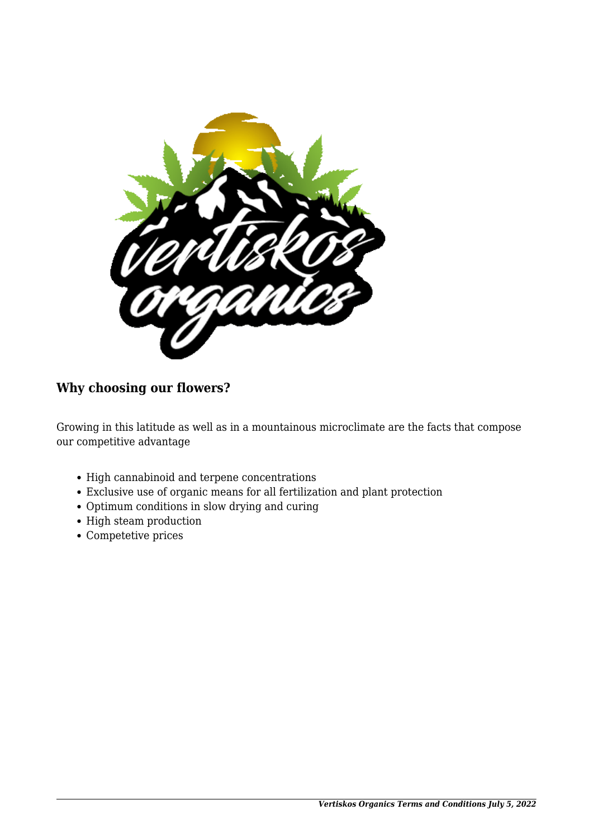

#### **Why choosing our flowers?**

Growing in this latitude as well as in a mountainous microclimate are the facts that compose our competitive advantage

- High cannabinoid and terpene concentrations
- Exclusive use of organic means for all fertilization and plant protection
- Optimum conditions in slow drying and curing
- High steam production
- Competetive prices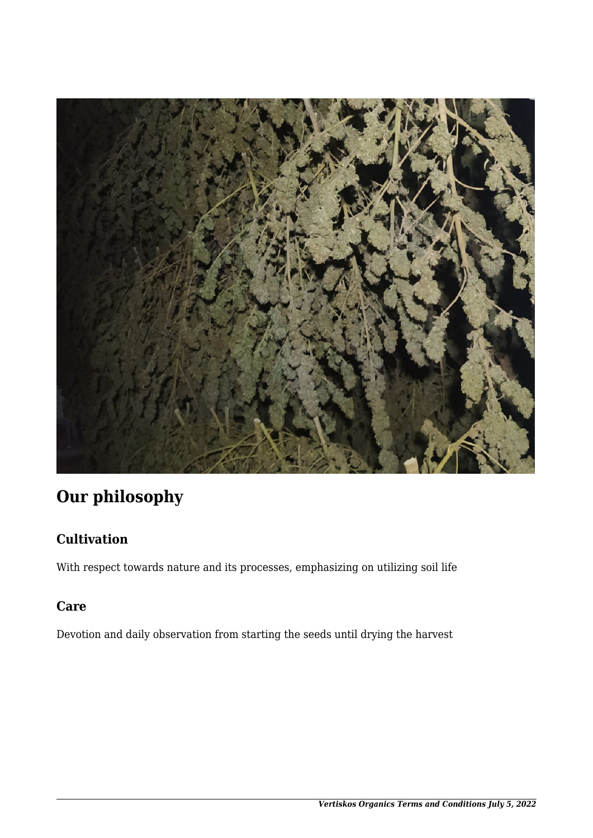

# **Our philosophy**

## **Cultivation**

With respect towards nature and its processes, emphasizing on utilizing soil life

### **Care**

Devotion and daily observation from starting the seeds until drying the harvest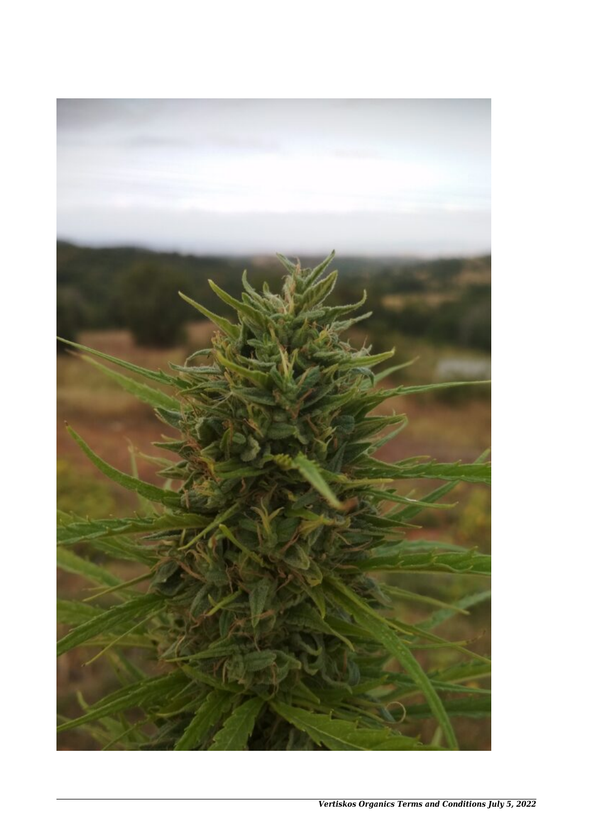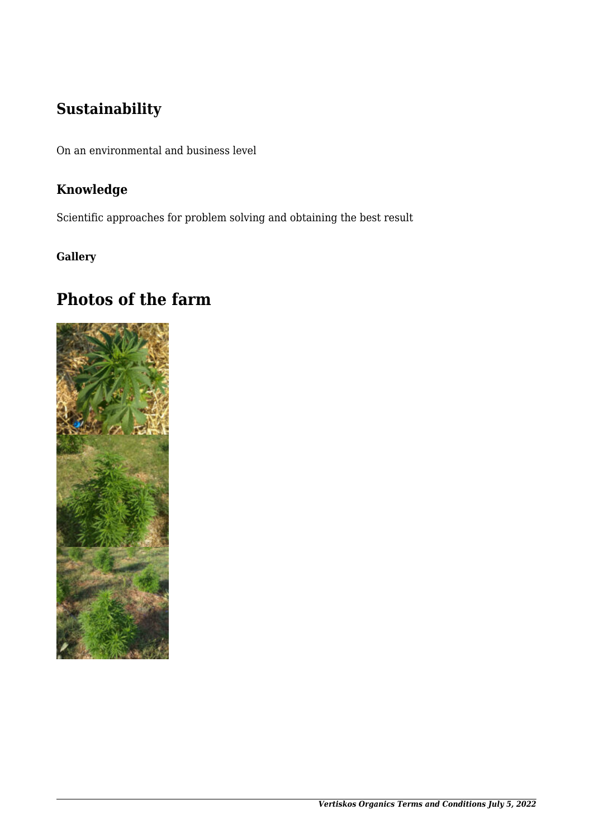# **Sustainability**

On an environmental and business level

### **Knowledge**

Scientific approaches for problem solving and obtaining the best result

#### **Gallery**

## **Photos of the farm**